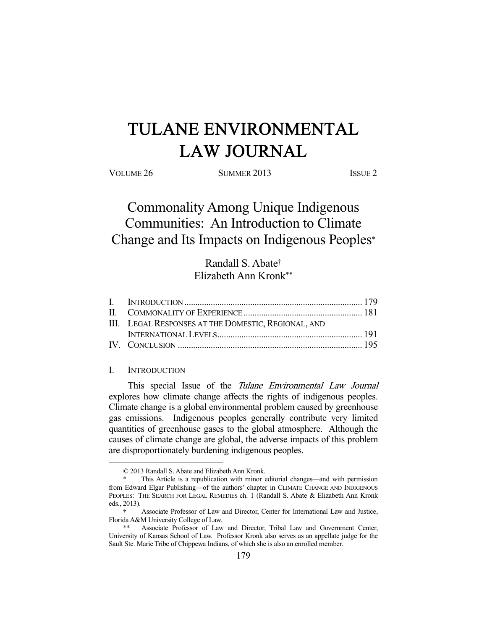# TULANE ENVIRONMENTAL LAW JOURNAL

| VOLUME 26 | SUMMER 2013 | <b>ISSUE 2</b> |
|-----------|-------------|----------------|

Commonality Among Unique Indigenous Communities: An Introduction to Climate Change and Its Impacts on Indigenous Peoples\*

> Randall S. Abate† Elizabeth Ann Kronk\*\*

| III. LEGAL RESPONSES AT THE DOMESTIC, REGIONAL, AND |  |
|-----------------------------------------------------|--|
|                                                     |  |
|                                                     |  |

### I. INTRODUCTION

-

This special Issue of the Tulane Environmental Law Journal explores how climate change affects the rights of indigenous peoples. Climate change is a global environmental problem caused by greenhouse gas emissions. Indigenous peoples generally contribute very limited quantities of greenhouse gases to the global atmosphere. Although the causes of climate change are global, the adverse impacts of this problem are disproportionately burdening indigenous peoples.

 <sup>© 2013</sup> Randall S. Abate and Elizabeth Ann Kronk.

 <sup>\*</sup> This Article is a republication with minor editorial changes—and with permission from Edward Elgar Publishing—of the authors' chapter in CLIMATE CHANGE AND INDIGENOUS PEOPLES: THE SEARCH FOR LEGAL REMEDIES ch. 1 (Randall S. Abate & Elizabeth Ann Kronk eds., 2013).

 <sup>†</sup> Associate Professor of Law and Director, Center for International Law and Justice, Florida A&M University College of Law.

 <sup>\*\*</sup> Associate Professor of Law and Director, Tribal Law and Government Center, University of Kansas School of Law. Professor Kronk also serves as an appellate judge for the Sault Ste. Marie Tribe of Chippewa Indians, of which she is also an enrolled member.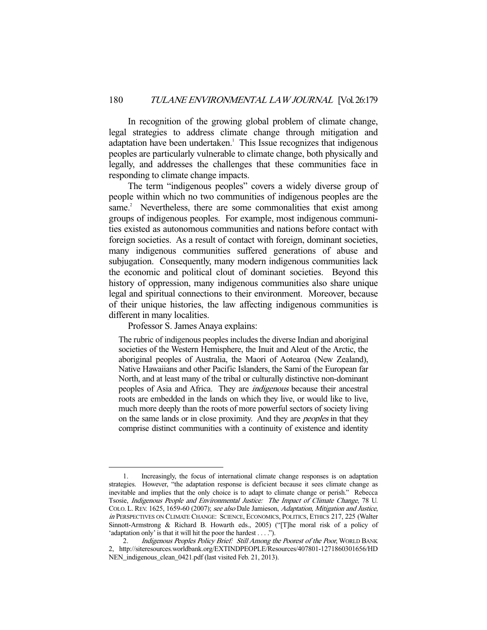In recognition of the growing global problem of climate change, legal strategies to address climate change through mitigation and adaptation have been undertaken.<sup>1</sup> This Issue recognizes that indigenous peoples are particularly vulnerable to climate change, both physically and legally, and addresses the challenges that these communities face in responding to climate change impacts.

 The term "indigenous peoples" covers a widely diverse group of people within which no two communities of indigenous peoples are the same.<sup>2</sup> Nevertheless, there are some commonalities that exist among groups of indigenous peoples. For example, most indigenous communities existed as autonomous communities and nations before contact with foreign societies. As a result of contact with foreign, dominant societies, many indigenous communities suffered generations of abuse and subjugation. Consequently, many modern indigenous communities lack the economic and political clout of dominant societies. Beyond this history of oppression, many indigenous communities also share unique legal and spiritual connections to their environment. Moreover, because of their unique histories, the law affecting indigenous communities is different in many localities.

Professor S. James Anaya explains:

-

The rubric of indigenous peoples includes the diverse Indian and aboriginal societies of the Western Hemisphere, the Inuit and Aleut of the Arctic, the aboriginal peoples of Australia, the Maori of Aotearoa (New Zealand), Native Hawaiians and other Pacific Islanders, the Sami of the European far North, and at least many of the tribal or culturally distinctive non-dominant peoples of Asia and Africa. They are indigenous because their ancestral roots are embedded in the lands on which they live, or would like to live, much more deeply than the roots of more powerful sectors of society living on the same lands or in close proximity. And they are peoples in that they comprise distinct communities with a continuity of existence and identity

 <sup>1.</sup> Increasingly, the focus of international climate change responses is on adaptation strategies. However, "the adaptation response is deficient because it sees climate change as inevitable and implies that the only choice is to adapt to climate change or perish." Rebecca Tsosie, Indigenous People and Environmental Justice: The Impact of Climate Change, 78 U. COLO. L. REV. 1625, 1659-60 (2007); see also Dale Jamieson, Adaptation, Mitigation and Justice, in PERSPECTIVES ON CLIMATE CHANGE: SCIENCE, ECONOMICS, POLITICS, ETHICS 217, 225 (Walter Sinnott-Armstrong & Richard B. Howarth eds., 2005) ("[T]he moral risk of a policy of 'adaptation only' is that it will hit the poor the hardest . . . .").

 <sup>2.</sup> Indigenous Peoples Policy Brief: Still Among the Poorest of the Poor, WORLD BANK 2, http://siteresources.worldbank.org/EXTINDPEOPLE/Resources/407801-1271860301656/HD NEN\_indigenous\_clean\_0421.pdf (last visited Feb. 21, 2013).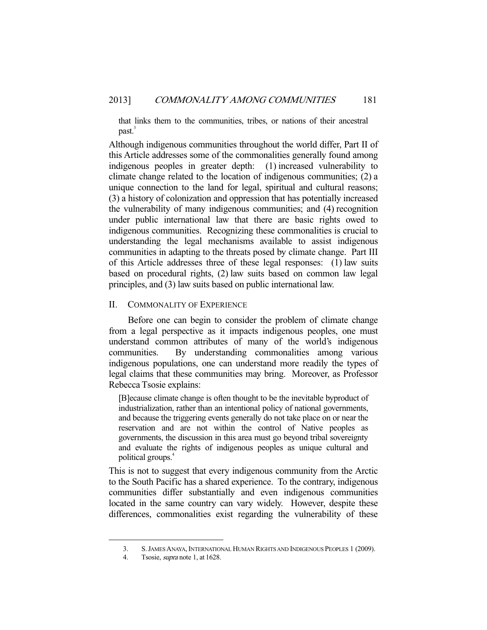that links them to the communities, tribes, or nations of their ancestral past.<sup>3</sup>

Although indigenous communities throughout the world differ, Part II of this Article addresses some of the commonalities generally found among indigenous peoples in greater depth: (1) increased vulnerability to climate change related to the location of indigenous communities; (2) a unique connection to the land for legal, spiritual and cultural reasons; (3) a history of colonization and oppression that has potentially increased the vulnerability of many indigenous communities; and (4) recognition under public international law that there are basic rights owed to indigenous communities. Recognizing these commonalities is crucial to understanding the legal mechanisms available to assist indigenous communities in adapting to the threats posed by climate change. Part III of this Article addresses three of these legal responses: (1) law suits based on procedural rights, (2) law suits based on common law legal principles, and (3) law suits based on public international law.

#### II. COMMONALITY OF EXPERIENCE

 Before one can begin to consider the problem of climate change from a legal perspective as it impacts indigenous peoples, one must understand common attributes of many of the world's indigenous communities. By understanding commonalities among various indigenous populations, one can understand more readily the types of legal claims that these communities may bring. Moreover, as Professor Rebecca Tsosie explains:

[B]ecause climate change is often thought to be the inevitable byproduct of industrialization, rather than an intentional policy of national governments, and because the triggering events generally do not take place on or near the reservation and are not within the control of Native peoples as governments, the discussion in this area must go beyond tribal sovereignty and evaluate the rights of indigenous peoples as unique cultural and political groups.4

This is not to suggest that every indigenous community from the Arctic to the South Pacific has a shared experience. To the contrary, indigenous communities differ substantially and even indigenous communities located in the same country can vary widely. However, despite these differences, commonalities exist regarding the vulnerability of these

<sup>3.</sup> S. JAMES ANAYA, INTERNATIONAL HUMAN RIGHTS AND INDIGENOUS PEOPLES 1 (2009).

<sup>4.</sup> Tsosie, *supra* note 1, at 1628.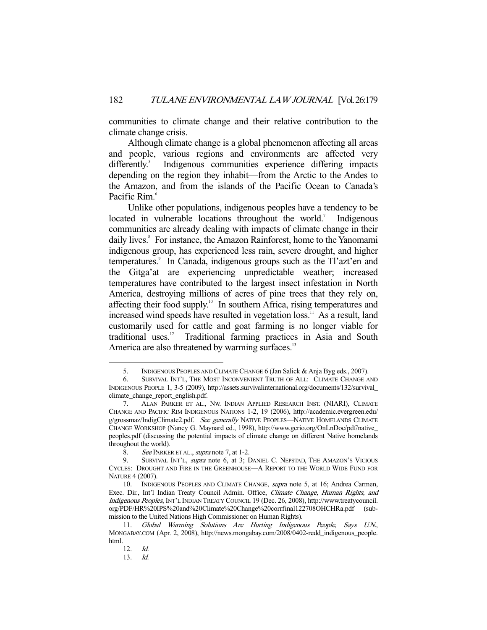communities to climate change and their relative contribution to the climate change crisis.

 Although climate change is a global phenomenon affecting all areas and people, various regions and environments are affected very  $d$ ifferently. $5$  Indigenous communities experience differing impacts depending on the region they inhabit—from the Arctic to the Andes to the Amazon, and from the islands of the Pacific Ocean to Canada's Pacific Rim.<sup>6</sup>

 Unlike other populations, indigenous peoples have a tendency to be located in vulnerable locations throughout the world.<sup>7</sup> Indigenous communities are already dealing with impacts of climate change in their daily lives.<sup>8</sup> For instance, the Amazon Rainforest, home to the Yanomami indigenous group, has experienced less rain, severe drought, and higher temperatures.<sup>9</sup> In Canada, indigenous groups such as the Tl'azt'en and the Gitga'at are experiencing unpredictable weather; increased temperatures have contributed to the largest insect infestation in North America, destroying millions of acres of pine trees that they rely on, affecting their food supply.<sup>10</sup> In southern Africa, rising temperatures and increased wind speeds have resulted in vegetation loss.<sup>11</sup> As a result, land customarily used for cattle and goat farming is no longer viable for traditional uses.<sup>12</sup> Traditional farming practices in Asia and South America are also threatened by warming surfaces.<sup>13</sup>

 <sup>5.</sup> INDIGENOUS PEOPLES AND CLIMATE CHANGE 6 (Jan Salick & Anja Byg eds., 2007).

 <sup>6.</sup> SURVIVAL INT'L, THE MOST INCONVENIENT TRUTH OF ALL: CLIMATE CHANGE AND INDIGENOUS PEOPLE 1, 3-5 (2009), http://assets.survivalinternational.org/documents/132/survival\_ climate\_change\_report\_english.pdf.

 <sup>7.</sup> ALAN PARKER ET AL., NW. INDIAN APPLIED RESEARCH INST. (NIARI), CLIMATE CHANGE AND PACIFIC RIM INDIGENOUS NATIONS 1-2, 19 (2006), http://academic.evergreen.edu/ g/grossmaz/IndigClimate2.pdf. See generally NATIVE PEOPLES—NATIVE HOMELANDS CLIMATE CHANGE WORKSHOP (Nancy G. Maynard ed., 1998), http://www.gcrio.org/OnLnDoc/pdf/native\_ peoples.pdf (discussing the potential impacts of climate change on different Native homelands throughout the world).

<sup>8.</sup> See PARKER ET AL., *supra* note 7, at 1-2.

<sup>9.</sup> SURVIVAL INT'L, *supra* note 6, at 3; DANIEL C. NEPSTAD, THE AMAZON'S VICIOUS CYCLES: DROUGHT AND FIRE IN THE GREENHOUSE—A REPORT TO THE WORLD WIDE FUND FOR NATURE 4 (2007).

<sup>10.</sup> INDIGENOUS PEOPLES AND CLIMATE CHANGE, supra note 5, at 16; Andrea Carmen, Exec. Dir., Int'l Indian Treaty Council Admin. Office, Climate Change, Human Rights, and Indigenous Peoples, INT'L INDIAN TREATY COUNCIL 19 (Dec. 26, 2008), http://www.treatycouncil. org/PDF/HR%20IPS%20and%20Climate%20Change%20corrfinal122708OHCHRa.pdf (submission to the United Nations High Commissioner on Human Rights).

 <sup>11.</sup> Global Warming Solutions Are Hurting Indigenous People, Says U.N., MONGABAY.COM (Apr. 2, 2008), http://news.mongabay.com/2008/0402-redd\_indigenous\_people. html.

 <sup>12.</sup> Id.

 <sup>13.</sup> Id.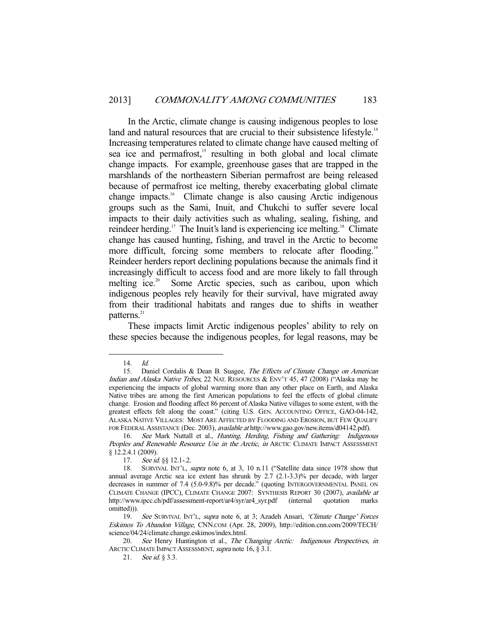In the Arctic, climate change is causing indigenous peoples to lose land and natural resources that are crucial to their subsistence lifestyle.<sup>14</sup> Increasing temperatures related to climate change have caused melting of sea ice and permafrost,<sup>15</sup> resulting in both global and local climate change impacts. For example, greenhouse gases that are trapped in the marshlands of the northeastern Siberian permafrost are being released because of permafrost ice melting, thereby exacerbating global climate change impacts.16 Climate change is also causing Arctic indigenous groups such as the Sami, Inuit, and Chukchi to suffer severe local impacts to their daily activities such as whaling, sealing, fishing, and reindeer herding.<sup>17</sup> The Inuit's land is experiencing ice melting.<sup>18</sup> Climate change has caused hunting, fishing, and travel in the Arctic to become more difficult, forcing some members to relocate after flooding.<sup>19</sup> Reindeer herders report declining populations because the animals find it increasingly difficult to access food and are more likely to fall through melting ice.<sup>20</sup> Some Arctic species, such as caribou, upon which indigenous peoples rely heavily for their survival, have migrated away from their traditional habitats and ranges due to shifts in weather patterns.<sup>21</sup>

 These impacts limit Arctic indigenous peoples' ability to rely on these species because the indigenous peoples, for legal reasons, may be

 <sup>14.</sup> Id.

<sup>15.</sup> Daniel Cordalis & Dean B. Suagee, The Effects of Climate Change on American Indian and Alaska Native Tribes, 22 NAT. RESOURCES & ENV'T 45, 47 (2008) ("Alaska may be experiencing the impacts of global warming more than any other place on Earth, and Alaska Native tribes are among the first American populations to feel the effects of global climate change. Erosion and flooding affect 86 percent of Alaska Native villages to some extent, with the greatest effects felt along the coast." (citing U.S. GEN. ACCOUNTING OFFICE, GAO-04-142, ALASKA NATIVE VILLAGES: MOST ARE AFFECTED BY FLOODING AND EROSION, BUT FEW QUALIFY FOR FEDERAL ASSISTANCE (Dec. 2003), available at http://www.gao.gov/new.items/d04142.pdf).

<sup>16.</sup> See Mark Nuttall et al., Hunting, Herding, Fishing and Gathering: Indigenous Peoples and Renewable Resource Use in the Arctic, in ARCTIC CLIMATE IMPACT ASSESSMENT § 12.2.4.1 (2009).

<sup>17.</sup> See id. §§ 12.1-.2.

 <sup>18.</sup> SURVIVAL INT'L, supra note 6, at 3, 10 n.11 ("Satellite data since 1978 show that annual average Arctic sea ice extent has shrunk by 2.7 (2.1-3.3)% per decade, with larger decreases in summer of 7.4 (5.0-9.8)% per decade." (quoting INTERGOVERNMENTAL PANEL ON CLIMATE CHANGE (IPCC), CLIMATE CHANGE 2007: SYNTHESIS REPORT 30 (2007), available at http://www.ipcc.ch/pdf/assessment-report/ar4/syr/ar4\_syr.pdf (internal quotation marks omitted))).

<sup>19.</sup> See SURVIVAL INT'L, supra note 6, at 3; Azadeh Ansari, 'Climate Change' Forces Eskimos To Abandon Village, CNN.COM (Apr. 28, 2009), http://edition.cnn.com/2009/TECH/ science/04/24/climate.change.eskimos/index.html.

<sup>20.</sup> See Henry Huntington et al., The Changing Arctic: Indigenous Perspectives, in ARCTIC CLIMATE IMPACT ASSESSMENT, supra note 16, § 3.1.

<sup>21.</sup> See id. § 3.3.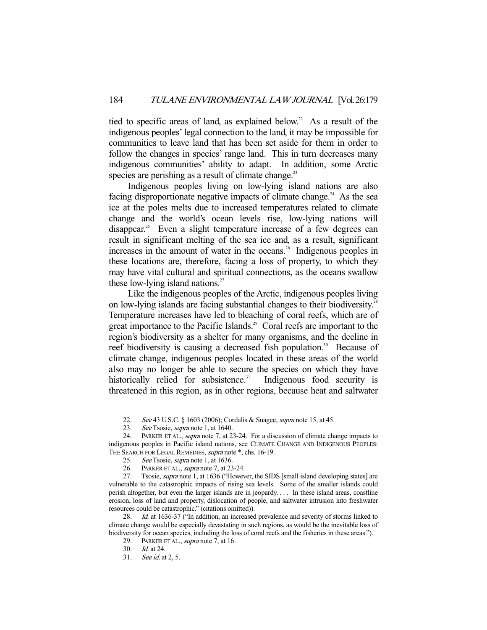tied to specific areas of land, as explained below.<sup>22</sup> As a result of the indigenous peoples' legal connection to the land, it may be impossible for communities to leave land that has been set aside for them in order to follow the changes in species' range land. This in turn decreases many indigenous communities' ability to adapt. In addition, some Arctic species are perishing as a result of climate change.<sup>23</sup>

 Indigenous peoples living on low-lying island nations are also facing disproportionate negative impacts of climate change.<sup>24</sup> As the sea ice at the poles melts due to increased temperatures related to climate change and the world's ocean levels rise, low-lying nations will disappear.<sup>25</sup> Even a slight temperature increase of a few degrees can result in significant melting of the sea ice and, as a result, significant increases in the amount of water in the oceans.<sup>26</sup> Indigenous peoples in these locations are, therefore, facing a loss of property, to which they may have vital cultural and spiritual connections, as the oceans swallow these low-lying island nations. $27$ 

 Like the indigenous peoples of the Arctic, indigenous peoples living on low-lying islands are facing substantial changes to their biodiversity.<sup>28</sup> Temperature increases have led to bleaching of coral reefs, which are of great importance to the Pacific Islands.<sup>29</sup> Coral reefs are important to the region's biodiversity as a shelter for many organisms, and the decline in reef biodiversity is causing a decreased fish population.<sup>30</sup> Because of climate change, indigenous peoples located in these areas of the world also may no longer be able to secure the species on which they have historically relied for subsistence.<sup>31</sup> Indigenous food security is threatened in this region, as in other regions, because heat and saltwater

<sup>22.</sup> See 43 U.S.C. § 1603 (2006); Cordalis & Suagee, *supra* note 15, at 45. See Tsosie, *supra* note 1, at 1640.

See Tsosie, supra note 1, at 1640.

<sup>24.</sup> PARKER ET AL., *supra* note 7, at 23-24. For a discussion of climate change impacts to indigenous peoples in Pacific island nations, see CLIMATE CHANGE AND INDIGENOUS PEOPLES: THE SEARCH FOR LEGAL REMEDIES, supra note \*, chs. 16-19.

<sup>25.</sup> See Tsosie, *supra* note 1, at 1636.

<sup>26.</sup> PARKER ET AL., *supra* note 7, at 23-24.

<sup>27.</sup> Tsosie, *supra* note 1, at 1636 ("However, the SIDS [small island developing states] are vulnerable to the catastrophic impacts of rising sea levels. Some of the smaller islands could perish altogether, but even the larger islands are in jeopardy. . . . In these island areas, coastline erosion, loss of land and property, dislocation of people, and saltwater intrusion into freshwater resources could be catastrophic." (citations omitted)).

<sup>28.</sup> Id. at 1636-37 ("In addition, an increased prevalence and severity of storms linked to climate change would be especially devastating in such regions, as would be the inevitable loss of biodiversity for ocean species, including the loss of coral reefs and the fisheries in these areas.").

<sup>29.</sup> PARKER ET AL., *supra* note 7, at 16.

 <sup>30.</sup> Id. at 24.

 <sup>31.</sup> See id. at 2, 5.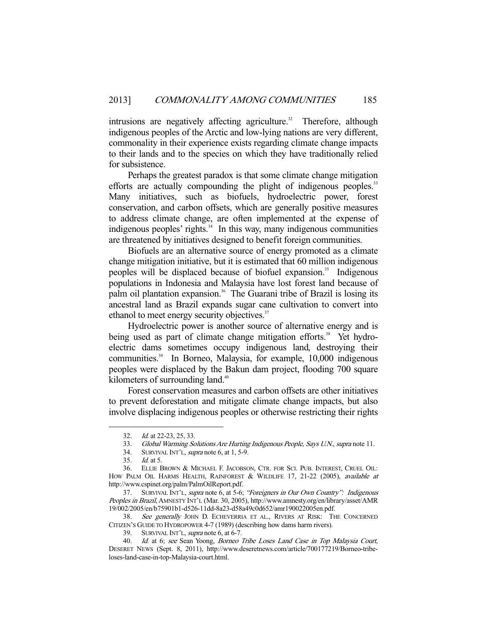intrusions are negatively affecting agriculture.<sup>32</sup> Therefore, although indigenous peoples of the Arctic and low-lying nations are very different, commonality in their experience exists regarding climate change impacts to their lands and to the species on which they have traditionally relied for subsistence.

 Perhaps the greatest paradox is that some climate change mitigation efforts are actually compounding the plight of indigenous peoples.<sup>33</sup> Many initiatives, such as biofuels, hydroelectric power, forest conservation, and carbon offsets, which are generally positive measures to address climate change, are often implemented at the expense of indigenous peoples' rights. $34$  In this way, many indigenous communities are threatened by initiatives designed to benefit foreign communities.

 Biofuels are an alternative source of energy promoted as a climate change mitigation initiative, but it is estimated that 60 million indigenous peoples will be displaced because of biofuel expansion.<sup>35</sup> Indigenous populations in Indonesia and Malaysia have lost forest land because of palm oil plantation expansion.<sup>36</sup> The Guarani tribe of Brazil is losing its ancestral land as Brazil expands sugar cane cultivation to convert into ethanol to meet energy security objectives.<sup>37</sup>

 Hydroelectric power is another source of alternative energy and is being used as part of climate change mitigation efforts.<sup>38</sup> Yet hydroelectric dams sometimes occupy indigenous land, destroying their communities.<sup>39</sup> In Borneo, Malaysia, for example, 10,000 indigenous peoples were displaced by the Bakun dam project, flooding 700 square kilometers of surrounding land.<sup>40</sup>

 Forest conservation measures and carbon offsets are other initiatives to prevent deforestation and mitigate climate change impacts, but also involve displacing indigenous peoples or otherwise restricting their rights

 <sup>32.</sup> Id. at 22-23, 25, 33.

 <sup>33.</sup> Global Warming Solutions Are Hurting Indigenous People, Says U.N., supra note 11.

 <sup>34.</sup> SURVIVAL INT'L, supra note 6, at 1, 5-9.

 <sup>35.</sup> Id. at 5.

 <sup>36.</sup> ELLIE BROWN & MICHAEL F. JACOBSON, CTR. FOR SCI. PUB. INTEREST, CRUEL OIL: HOW PALM OIL HARMS HEALTH, RAINFOREST & WILDLIFE 17, 21-22 (2005), available at http://www.cspinet.org/palm/PalmOilReport.pdf.

 <sup>37.</sup> SURVIVAL INT'L, supra note 6, at 5-6; "Foreigners in Our Own Country": Indigenous Peoples in Brazil, AMNESTY INT'L (Mar. 30, 2005), http://www.amnesty.org/en/library/asset/AMR 19/002/2005/en/b75901b1-d526-11dd-8a23-d58a49c0d652/amr190022005en.pdf.<br>38. See generally JOHN D. ECHEVERRIA ET AL.. RIVERS AT RISK: TF

See generally JOHN D. ECHEVERRIA ET AL., RIVERS AT RISK: THE CONCERNED CITIZEN'S GUIDE TO HYDROPOWER 4-7 (1989) (describing how dams harm rivers).

<sup>39.</sup> SURVIVAL INT'L, supra note 6, at 6-7.

 <sup>40.</sup> Id. at 6; see Sean Yoong, Borneo Tribe Loses Land Case in Top Malaysia Court, DESERET NEWS (Sept. 8, 2011), http://www.deseretnews.com/article/700177219/Borneo-tribeloses-land-case-in-top-Malaysia-court.html.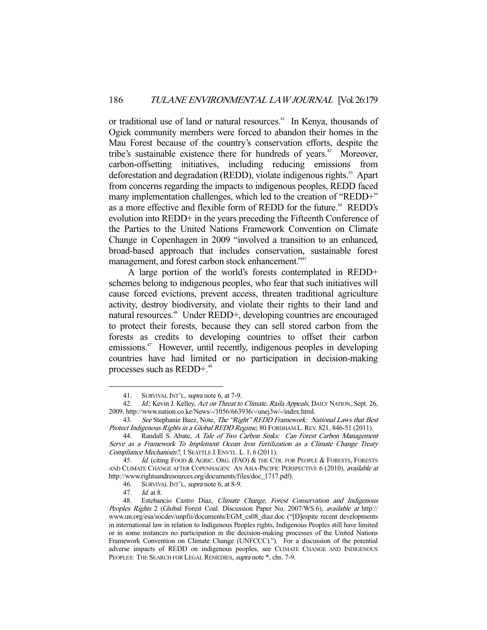or traditional use of land or natural resources.<sup>41</sup> In Kenya, thousands of Ogiek community members were forced to abandon their homes in the Mau Forest because of the country's conservation efforts, despite the tribe's sustainable existence there for hundreds of years.<sup>42</sup> Moreover, carbon-offsetting initiatives, including reducing emissions from deforestation and degradation (REDD), violate indigenous rights.<sup>43</sup> Apart from concerns regarding the impacts to indigenous peoples, REDD faced many implementation challenges, which led to the creation of "REDD+" as a more effective and flexible form of REDD for the future.<sup>44</sup> REDD's evolution into REDD+ in the years preceding the Fifteenth Conference of the Parties to the United Nations Framework Convention on Climate Change in Copenhagen in 2009 "involved a transition to an enhanced, broad-based approach that includes conservation, sustainable forest management, and forest carbon stock enhancement."<sup>45</sup>

 A large portion of the world's forests contemplated in REDD+ schemes belong to indigenous peoples, who fear that such initiatives will cause forced evictions, prevent access, threaten traditional agriculture activity, destroy biodiversity, and violate their rights to their land and natural resources.<sup>46</sup> Under REDD+, developing countries are encouraged to protect their forests, because they can sell stored carbon from the forests as credits to developing countries to offset their carbon emissions.<sup>47</sup> However, until recently, indigenous peoples in developing countries have had limited or no participation in decision-making processes such as REDD+.<sup>48</sup>

<sup>41.</sup> SURVIVAL INT'L, *supra* note 6, at 7-9.

<sup>42.</sup> Id.; Kevin J. Kelley, Act on Threat to Climate, Raila Appeals, DAILY NATION, Sept. 26, 2009, http://www.nation.co.ke/News/-/1056/663936/-/unej3w/-/index.html.

<sup>43.</sup> See Stephanie Baez, Note, The "Right" REDD Framework: National Laws that Best Protect Indigenous Rights in a Global REDD Regime, 80 FORDHAM L. REV. 821, 846-51 (2011).

<sup>44.</sup> Randall S. Abate, A Tale of Two Carbon Sinks: Can Forest Carbon Management Serve as a Framework To Implement Ocean Iron Fertilization as a Climate Change Treaty Compliance Mechanism?, 1 SEATTLE J. ENVTL. L. 1, 6 (2011).

<sup>45.</sup> Id. (citing FOOD & AGRIC. ORG. (FAO) & THE CTR. FOR PEOPLE & FORESTS. FORESTS AND CLIMATE CHANGE AFTER COPENHAGEN: AN ASIA-PACIFIC PERSPECTIVE 6 (2010), available at http://www.rightsandresources.org/documents/files/doc\_1717.pdf).

<sup>46.</sup> SURVIVAL INT'L, *supra* note 6, at 8-9.<br>47. *Id.* at 8.

 $\mathcal{I}d$  at 8.

 <sup>48.</sup> Estebancio Castro Diaz, Climate Change, Forest Conservation and Indigenous Peoples Rights 2 (Global Forest Coal. Discussion Paper No. 2007/WS.6), available at http:// www.un.org/esa/socdev/unpfii/documents/EGM\_cs08\_diaz.doc ("[D]espite recent developments in international law in relation to Indigenous Peoples rights, Indigenous Peoples still have limited or in some instances no participation in the decision-making processes of the United Nations Framework Convention on Climate Change (UNFCCC)."). For a discussion of the potential adverse impacts of REDD on indigenous peoples, see CLIMATE CHANGE AND INDIGENOUS PEOPLES: THE SEARCH FOR LEGAL REMEDIES, supra note \*, chs. 7-9.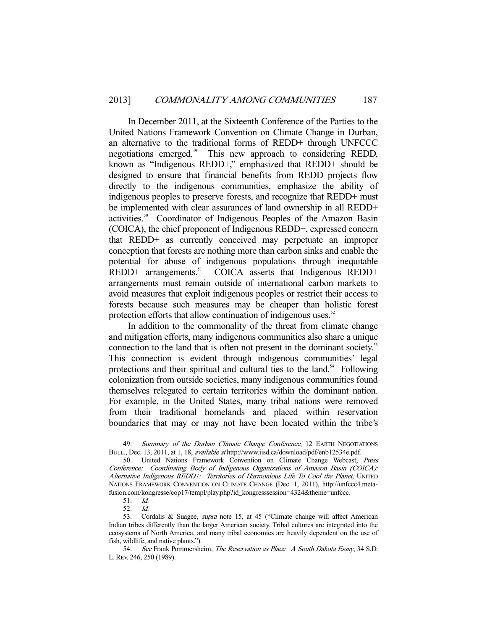In December 2011, at the Sixteenth Conference of the Parties to the United Nations Framework Convention on Climate Change in Durban, an alternative to the traditional forms of REDD+ through UNFCCC negotiations emerged.<sup>49</sup> This new approach to considering REDD, known as "Indigenous REDD+," emphasized that REDD+ should be designed to ensure that financial benefits from REDD projects flow directly to the indigenous communities, emphasize the ability of indigenous peoples to preserve forests, and recognize that REDD+ must be implemented with clear assurances of land ownership in all REDD+ activities.<sup>50</sup> Coordinator of Indigenous Peoples of the Amazon Basin (COICA), the chief proponent of Indigenous REDD+, expressed concern that REDD+ as currently conceived may perpetuate an improper conception that forests are nothing more than carbon sinks and enable the potential for abuse of indigenous populations through inequitable  $REDD+$  arrangements.<sup>51</sup> COICA asserts that Indigenous REDD+ arrangements must remain outside of international carbon markets to avoid measures that exploit indigenous peoples or restrict their access to forests because such measures may be cheaper than holistic forest protection efforts that allow continuation of indigenous uses.<sup>52</sup>

 In addition to the commonality of the threat from climate change and mitigation efforts, many indigenous communities also share a unique connection to the land that is often not present in the dominant society.<sup>53</sup> This connection is evident through indigenous communities' legal protections and their spiritual and cultural ties to the land.<sup>54</sup> Following colonization from outside societies, many indigenous communities found themselves relegated to certain territories within the dominant nation. For example, in the United States, many tribal nations were removed from their traditional homelands and placed within reservation boundaries that may or may not have been located within the tribe's

<sup>49.</sup> Summary of the Durban Climate Change Conference, 12 EARTH NEGOTIATIONS BULL., Dec. 13, 2011, at 1, 18, available at http://www.iisd.ca/download/pdf/enb12534e.pdf.

 <sup>50.</sup> United Nations Framework Convention on Climate Change Webcast, Press Conference: Coordinating Body of Indigenous Organizations of Amazon Basin (COICA): Alternative Indigenous REDD+: Territories of Harmonious Life To Cool the Planet, UNITED NATIONS FRAMEWORK CONVENTION ON CLIMATE CHANGE (Dec. 1, 2011), http://unfccc4.metafusion.com/kongresse/cop17/templ/play.php?id\_kongresssession=4324&theme=unfccc.

 <sup>51.</sup> Id.

 <sup>52.</sup> Id.

<sup>53.</sup> Cordalis & Suagee, *supra* note 15, at 45 ("Climate change will affect American Indian tribes differently than the larger American society. Tribal cultures are integrated into the ecosystems of North America, and many tribal economies are heavily dependent on the use of fish, wildlife, and native plants.").

 <sup>54.</sup> See Frank Pommersheim, The Reservation as Place: A South Dakota Essay, 34 S.D. L.REV. 246, 250 (1989).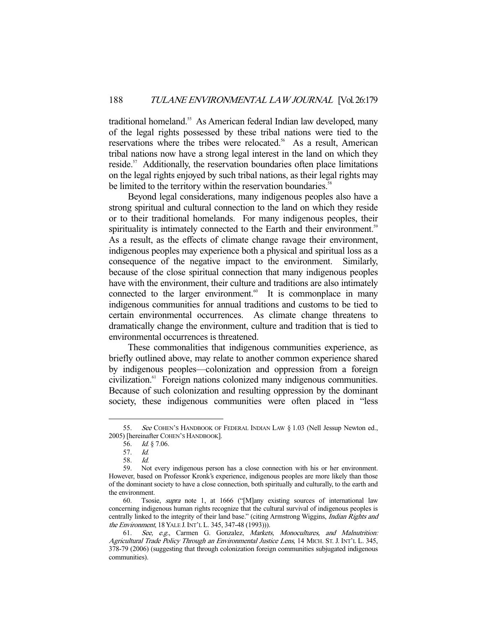traditional homeland.<sup>55</sup> As American federal Indian law developed, many of the legal rights possessed by these tribal nations were tied to the reservations where the tribes were relocated.<sup>56</sup> As a result, American tribal nations now have a strong legal interest in the land on which they reside.<sup>57</sup> Additionally, the reservation boundaries often place limitations on the legal rights enjoyed by such tribal nations, as their legal rights may be limited to the territory within the reservation boundaries.<sup>58</sup>

 Beyond legal considerations, many indigenous peoples also have a strong spiritual and cultural connection to the land on which they reside or to their traditional homelands. For many indigenous peoples, their spirituality is intimately connected to the Earth and their environment.<sup>59</sup> As a result, as the effects of climate change ravage their environment, indigenous peoples may experience both a physical and spiritual loss as a consequence of the negative impact to the environment. Similarly, because of the close spiritual connection that many indigenous peoples have with the environment, their culture and traditions are also intimately connected to the larger environment. $60$  It is commonplace in many indigenous communities for annual traditions and customs to be tied to certain environmental occurrences. As climate change threatens to dramatically change the environment, culture and tradition that is tied to environmental occurrences is threatened.

 These commonalities that indigenous communities experience, as briefly outlined above, may relate to another common experience shared by indigenous peoples—colonization and oppression from a foreign civilization.61 Foreign nations colonized many indigenous communities. Because of such colonization and resulting oppression by the dominant society, these indigenous communities were often placed in "less

<sup>55.</sup> See COHEN'S HANDBOOK OF FEDERAL INDIAN LAW § 1.03 (Nell Jessup Newton ed., 2005) [hereinafter COHEN'S HANDBOOK].

 <sup>56.</sup> Id. § 7.06.

 <sup>57.</sup> Id.

 <sup>58.</sup> Id.

 <sup>59.</sup> Not every indigenous person has a close connection with his or her environment. However, based on Professor Kronk's experience, indigenous peoples are more likely than those of the dominant society to have a close connection, both spiritually and culturally, to the earth and the environment.

 <sup>60.</sup> Tsosie, supra note 1, at 1666 ("[M]any existing sources of international law concerning indigenous human rights recognize that the cultural survival of indigenous peoples is centrally linked to the integrity of their land base." (citing Armstrong Wiggins, Indian Rights and the Environment, 18 YALE J.INT'L L. 345, 347-48 (1993))).

<sup>61.</sup> See, e.g., Carmen G. Gonzalez, Markets, Monocultures, and Malnutrition: Agricultural Trade Policy Through an Environmental Justice Lens, 14 MICH. ST. J. INT'L L. 345, 378-79 (2006) (suggesting that through colonization foreign communities subjugated indigenous communities).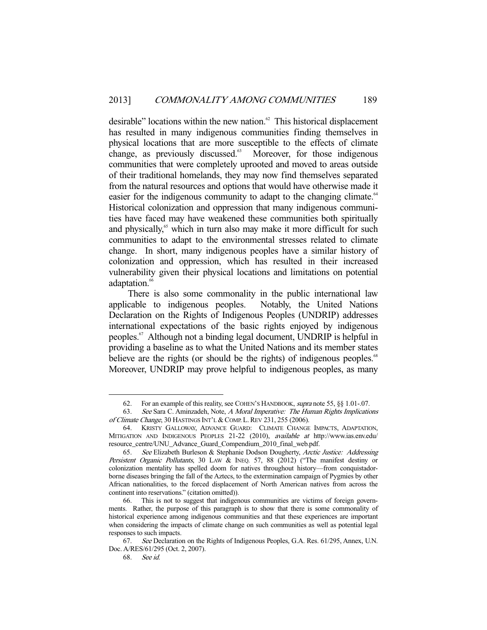desirable" locations within the new nation.<sup>62</sup> This historical displacement has resulted in many indigenous communities finding themselves in physical locations that are more susceptible to the effects of climate change, as previously discussed.<sup>63</sup> Moreover, for those indigenous communities that were completely uprooted and moved to areas outside of their traditional homelands, they may now find themselves separated from the natural resources and options that would have otherwise made it easier for the indigenous community to adapt to the changing climate.<sup>64</sup> Historical colonization and oppression that many indigenous communities have faced may have weakened these communities both spiritually and physically,<sup>65</sup> which in turn also may make it more difficult for such communities to adapt to the environmental stresses related to climate change. In short, many indigenous peoples have a similar history of colonization and oppression, which has resulted in their increased vulnerability given their physical locations and limitations on potential adaptation.<sup>66</sup>

 There is also some commonality in the public international law applicable to indigenous peoples. Notably, the United Nations Declaration on the Rights of Indigenous Peoples (UNDRIP) addresses international expectations of the basic rights enjoyed by indigenous peoples.67 Although not a binding legal document, UNDRIP is helpful in providing a baseline as to what the United Nations and its member states believe are the rights (or should be the rights) of indigenous peoples.<sup>68</sup> Moreover, UNDRIP may prove helpful to indigenous peoples, as many

<sup>62.</sup> For an example of this reality, see COHEN's HANDBOOK, supra note 55, §§ 1.01-.07.

 <sup>63.</sup> See Sara C. Aminzadeh, Note, A Moral Imperative: The Human Rights Implications of Climate Change, 30 HASTINGS INT'L & COMP. L. REV 231, 255 (2006).

 <sup>64.</sup> KRISTY GALLOWAY, ADVANCE GUARD: CLIMATE CHANGE IMPACTS, ADAPTATION, MITIGATION AND INDIGENOUS PEOPLES 21-22 (2010), available at http://www.ias.env.edu/ resource\_centre/UNU\_Advance\_Guard\_Compendium\_2010\_final\_web.pdf.

 <sup>65.</sup> See Elizabeth Burleson & Stephanie Dodson Dougherty, Arctic Justice: Addressing Persistent Organic Pollutants, 30 LAW & INEQ. 57, 88 (2012) ("The manifest destiny or colonization mentality has spelled doom for natives throughout history—from conquistadorborne diseases bringing the fall of the Aztecs, to the extermination campaign of Pygmies by other African nationalities, to the forced displacement of North American natives from across the continent into reservations." (citation omitted)).

 <sup>66.</sup> This is not to suggest that indigenous communities are victims of foreign governments. Rather, the purpose of this paragraph is to show that there is some commonality of historical experience among indigenous communities and that these experiences are important when considering the impacts of climate change on such communities as well as potential legal responses to such impacts.

<sup>67.</sup> See Declaration on the Rights of Indigenous Peoples, G.A. Res. 61/295, Annex, U.N. Doc. A/RES/61/295 (Oct. 2, 2007).

 <sup>68.</sup> See id.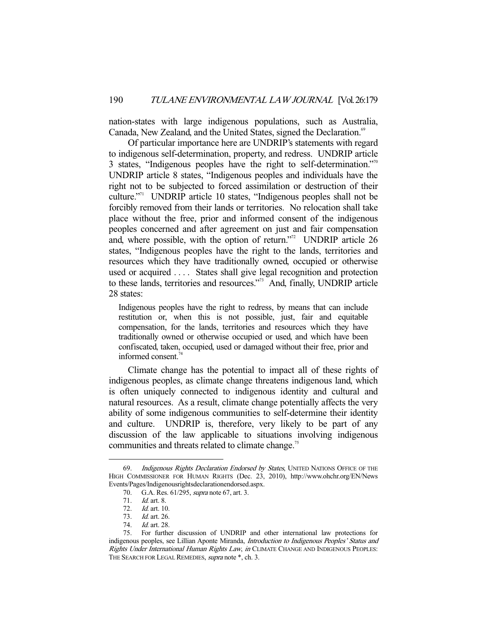nation-states with large indigenous populations, such as Australia, Canada, New Zealand, and the United States, signed the Declaration.<sup>69</sup>

 Of particular importance here are UNDRIP's statements with regard to indigenous self-determination, property, and redress. UNDRIP article 3 states, "Indigenous peoples have the right to self-determination."<sup>70</sup> UNDRIP article 8 states, "Indigenous peoples and individuals have the right not to be subjected to forced assimilation or destruction of their culture."71 UNDRIP article 10 states, "Indigenous peoples shall not be forcibly removed from their lands or territories. No relocation shall take place without the free, prior and informed consent of the indigenous peoples concerned and after agreement on just and fair compensation and, where possible, with the option of return."<sup>72</sup> UNDRIP article 26 states, "Indigenous peoples have the right to the lands, territories and resources which they have traditionally owned, occupied or otherwise used or acquired . . . . States shall give legal recognition and protection to these lands, territories and resources."73 And, finally, UNDRIP article 28 states:

Indigenous peoples have the right to redress, by means that can include restitution or, when this is not possible, just, fair and equitable compensation, for the lands, territories and resources which they have traditionally owned or otherwise occupied or used, and which have been confiscated, taken, occupied, used or damaged without their free, prior and informed consent.<sup>74</sup>

 Climate change has the potential to impact all of these rights of indigenous peoples, as climate change threatens indigenous land, which is often uniquely connected to indigenous identity and cultural and natural resources. As a result, climate change potentially affects the very ability of some indigenous communities to self-determine their identity and culture. UNDRIP is, therefore, very likely to be part of any discussion of the law applicable to situations involving indigenous communities and threats related to climate change.<sup>75</sup>

<sup>69.</sup> Indigenous Rights Declaration Endorsed by States, UNITED NATIONS OFFICE OF THE HIGH COMMISSIONER FOR HUMAN RIGHTS (Dec. 23, 2010), http://www.ohchr.org/EN/News Events/Pages/Indigenousrightsdeclarationendorsed.aspx.<br>70. G.A. Res. 61/295, *supra* note 67, art. 3.

<sup>70.</sup> G.A. Res. 61/295, *supra* note 67, art. 3.<br>71. Id. art. 8.

<sup>71.</sup> *Id.* art. 8.<br>72. *Id.* art. 10

<sup>72.</sup> *Id.* art. 10.<br>73. *Id.* art. 26.

Id. art. 26.

<sup>74.</sup> *Id.* art. 28.<br>75. For furthe

 <sup>75.</sup> For further discussion of UNDRIP and other international law protections for indigenous peoples, see Lillian Aponte Miranda, Introduction to Indigenous Peoples' Status and Rights Under International Human Rights Law, in CLIMATE CHANGE AND INDIGENOUS PEOPLES: THE SEARCH FOR LEGAL REMEDIES, *supra* note \*, ch. 3.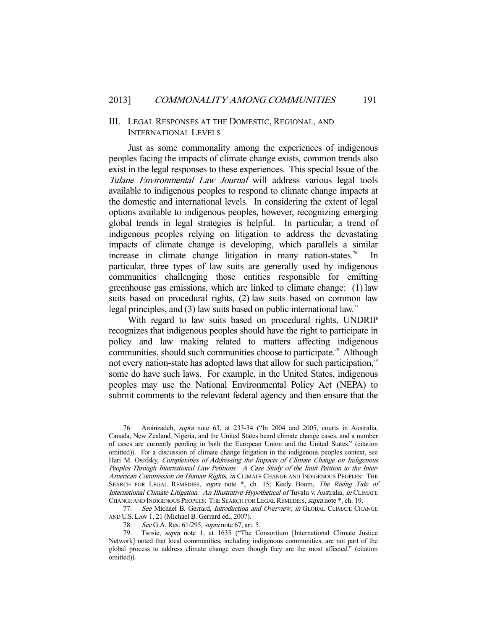## III. LEGAL RESPONSES AT THE DOMESTIC, REGIONAL, AND INTERNATIONAL LEVELS

 Just as some commonality among the experiences of indigenous peoples facing the impacts of climate change exists, common trends also exist in the legal responses to these experiences. This special Issue of the Tulane Environmental Law Journal will address various legal tools available to indigenous peoples to respond to climate change impacts at the domestic and international levels. In considering the extent of legal options available to indigenous peoples, however, recognizing emerging global trends in legal strategies is helpful. In particular, a trend of indigenous peoples relying on litigation to address the devastating impacts of climate change is developing, which parallels a similar increase in climate change litigation in many nation-states.<sup>76</sup> In particular, three types of law suits are generally used by indigenous communities challenging those entities responsible for emitting greenhouse gas emissions, which are linked to climate change: (1) law suits based on procedural rights, (2) law suits based on common law legal principles, and (3) law suits based on public international law.<sup>77</sup>

 With regard to law suits based on procedural rights, UNDRIP recognizes that indigenous peoples should have the right to participate in policy and law making related to matters affecting indigenous communities, should such communities choose to participate.<sup>78</sup> Although not every nation-state has adopted laws that allow for such participation.<sup>79</sup> some do have such laws. For example, in the United States, indigenous peoples may use the National Environmental Policy Act (NEPA) to submit comments to the relevant federal agency and then ensure that the

 <sup>76.</sup> Aminzadeh, supra note 63, at 233-34 ("In 2004 and 2005, courts in Australia, Canada, New Zealand, Nigeria, and the United States heard climate change cases, and a number of cases are currently pending in both the European Union and the United States." (citation omitted)). For a discussion of climate change litigation in the indigenous peoples context, see Hari M. Osofsky, Complexities of Addressing the Impacts of Climate Change on Indigenous Peoples Through International Law Petitions: A Case Study of the Inuit Petition to the Inter-American Commission on Human Rights, in CLIMATE CHANGE AND INDIGENOUS PEOPLES: THE SEARCH FOR LEGAL REMEDIES, supra note \*, ch. 15; Keely Boom, The Rising Tide of International Climate Litigation: An Illustrative Hypothetical of Tuvalu v. Australia, in CLIMATE CHANGE AND INDIGENOUS PEOPLES: THE SEARCH FOR LEGAL REMEDIES, supra note \*, ch. 19.

<sup>77.</sup> See Michael B. Gerrard, Introduction and Overview, in GLOBAL CLIMATE CHANGE AND U.S.LAW 1, 21 (Michael B. Gerrard ed., 2007).

<sup>78.</sup> See G.A. Res. 61/295, *supra* note 67, art. 5.

 <sup>79.</sup> Tsosie, supra note 1, at 1635 ("The Consortium [International Climate Justice Network] noted that local communities, including indigenous communities, are not part of the global process to address climate change even though they are the most affected." (citation omitted)).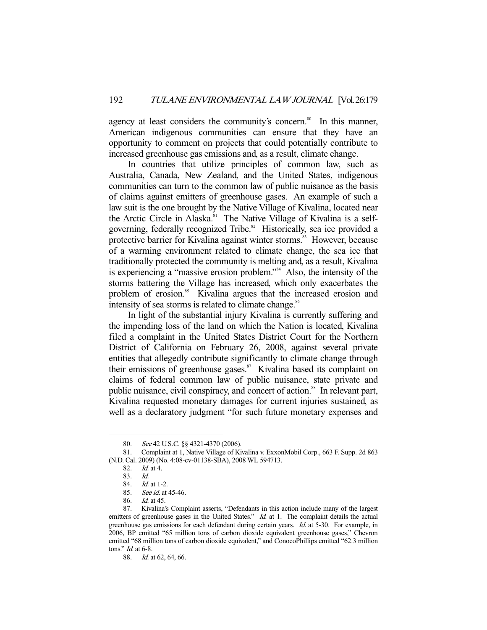agency at least considers the community's concern.<sup>80</sup> In this manner, American indigenous communities can ensure that they have an opportunity to comment on projects that could potentially contribute to increased greenhouse gas emissions and, as a result, climate change.

 In countries that utilize principles of common law, such as Australia, Canada, New Zealand, and the United States, indigenous communities can turn to the common law of public nuisance as the basis of claims against emitters of greenhouse gases. An example of such a law suit is the one brought by the Native Village of Kivalina, located near the Arctic Circle in Alaska.<sup>81</sup> The Native Village of Kivalina is a selfgoverning, federally recognized Tribe.<sup>82</sup> Historically, sea ice provided a protective barrier for Kivalina against winter storms.<sup>83</sup> However, because of a warming environment related to climate change, the sea ice that traditionally protected the community is melting and, as a result, Kivalina is experiencing a "massive erosion problem."84 Also, the intensity of the storms battering the Village has increased, which only exacerbates the problem of erosion.<sup>85</sup> Kivalina argues that the increased erosion and intensity of sea storms is related to climate change.<sup>86</sup>

 In light of the substantial injury Kivalina is currently suffering and the impending loss of the land on which the Nation is located, Kivalina filed a complaint in the United States District Court for the Northern District of California on February 26, 2008, against several private entities that allegedly contribute significantly to climate change through their emissions of greenhouse gases.<sup>87</sup> Kivalina based its complaint on claims of federal common law of public nuisance, state private and public nuisance, civil conspiracy, and concert of action.<sup>88</sup> In relevant part, Kivalina requested monetary damages for current injuries sustained, as well as a declaratory judgment "for such future monetary expenses and

<sup>80.</sup> See 42 U.S.C. §§ 4321-4370 (2006).

 <sup>81.</sup> Complaint at 1, Native Village of Kivalina v. ExxonMobil Corp., 663 F. Supp. 2d 863 (N.D. Cal. 2009) (No. 4:08-cv-01138-SBA), 2008 WL 594713.

 <sup>82.</sup> Id. at 4.

 <sup>83.</sup> Id.

 <sup>84.</sup> Id. at 1-2.

 <sup>85.</sup> See id. at 45-46.

 <sup>86.</sup> Id. at 45.

 <sup>87.</sup> Kivalina's Complaint asserts, "Defendants in this action include many of the largest emitters of greenhouse gases in the United States." Id. at 1. The complaint details the actual greenhouse gas emissions for each defendant during certain years. Id. at 5-30. For example, in 2006, BP emitted "65 million tons of carbon dioxide equivalent greenhouse gases," Chevron emitted "68 million tons of carbon dioxide equivalent," and ConocoPhillips emitted "62.3 million tons." Id. at 6-8.

 <sup>88.</sup> Id. at 62, 64, 66.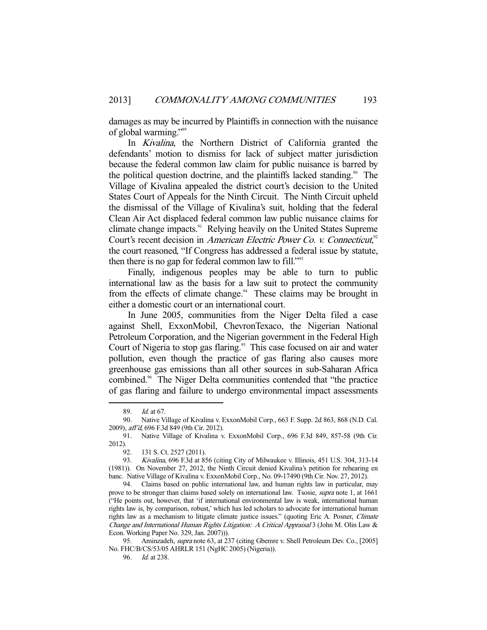damages as may be incurred by Plaintiffs in connection with the nuisance of global warming."89

 In Kivalina, the Northern District of California granted the defendants' motion to dismiss for lack of subject matter jurisdiction because the federal common law claim for public nuisance is barred by the political question doctrine, and the plaintiffs lacked standing.<sup>90</sup> The Village of Kivalina appealed the district court's decision to the United States Court of Appeals for the Ninth Circuit. The Ninth Circuit upheld the dismissal of the Village of Kivalina's suit, holding that the federal Clean Air Act displaced federal common law public nuisance claims for climate change impacts.<sup>91</sup> Relying heavily on the United States Supreme Court's recent decision in American Electric Power Co. v. Connecticut,<sup>92</sup> the court reasoned, "If Congress has addressed a federal issue by statute, then there is no gap for federal common law to fill." $\frac{303}{2}$ 

 Finally, indigenous peoples may be able to turn to public international law as the basis for a law suit to protect the community from the effects of climate change.<sup>94</sup> These claims may be brought in either a domestic court or an international court.

 In June 2005, communities from the Niger Delta filed a case against Shell, ExxonMobil, ChevronTexaco, the Nigerian National Petroleum Corporation, and the Nigerian government in the Federal High Court of Nigeria to stop gas flaring.<sup>95</sup> This case focused on air and water pollution, even though the practice of gas flaring also causes more greenhouse gas emissions than all other sources in sub-Saharan Africa combined.<sup>96</sup> The Niger Delta communities contended that "the practice" of gas flaring and failure to undergo environmental impact assessments

 <sup>89.</sup> Id. at 67.

 <sup>90.</sup> Native Village of Kivalina v. ExxonMobil Corp., 663 F. Supp. 2d 863, 868 (N.D. Cal. 2009), aff'd, 696 F.3d 849 (9th Cir. 2012).

 <sup>91.</sup> Native Village of Kivalina v. ExxonMobil Corp., 696 F.3d 849, 857-58 (9th Cir. 2012).

 <sup>92. 131</sup> S. Ct. 2527 (2011).

 <sup>93.</sup> Kivalina, 696 F.3d at 856 (citing City of Milwaukee v. Illinois, 451 U.S. 304, 313-14 (1981)). On November 27, 2012, the Ninth Circuit denied Kivalina's petition for rehearing en banc. Native Village of Kivalina v. ExxonMobil Corp., No. 09-17490 (9th Cir. Nov. 27, 2012).

 <sup>94.</sup> Claims based on public international law, and human rights law in particular, may prove to be stronger than claims based solely on international law. Tsosie, *supra* note 1, at 1661 ("He points out, however, that 'if international environmental law is weak, international human rights law is, by comparison, robust,' which has led scholars to advocate for international human rights law as a mechanism to litigate climate justice issues." (quoting Eric A. Posner, Climate Change and International Human Rights Litigation: A Critical Appraisal 3 (John M. Olin Law & Econ. Working Paper No. 329, Jan. 2007))).

<sup>95.</sup> Aminzadeh, *supra* note 63, at 237 (citing Gbemre v. Shell Petroleum Dev. Co., [2005] No. FHC/B/CS/53/05 AHRLR 151 (NgHC 2005) (Nigeria)).

 <sup>96.</sup> Id. at 238.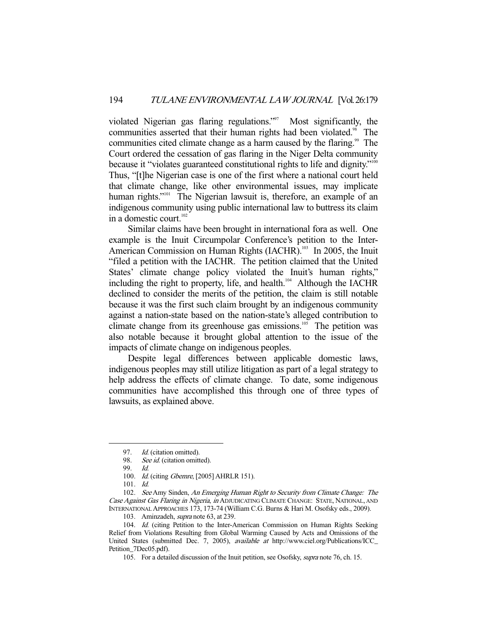violated Nigerian gas flaring regulations."<sup>97</sup> Most significantly, the communities asserted that their human rights had been violated.<sup>98</sup> The communities cited climate change as a harm caused by the flaring.<sup>99</sup> The Court ordered the cessation of gas flaring in the Niger Delta community because it "violates guaranteed constitutional rights to life and dignity."<sup>100</sup> Thus, "[t]he Nigerian case is one of the first where a national court held that climate change, like other environmental issues, may implicate human rights."<sup>101</sup> The Nigerian lawsuit is, therefore, an example of an indigenous community using public international law to buttress its claim in a domestic court.<sup>102</sup>

 Similar claims have been brought in international fora as well. One example is the Inuit Circumpolar Conference's petition to the Inter-American Commission on Human Rights (IACHR).<sup>103</sup> In 2005, the Inuit "filed a petition with the IACHR. The petition claimed that the United States' climate change policy violated the Inuit's human rights," including the right to property, life, and health.<sup>104</sup> Although the IACHR declined to consider the merits of the petition, the claim is still notable because it was the first such claim brought by an indigenous community against a nation-state based on the nation-state's alleged contribution to climate change from its greenhouse gas emissions.<sup>105</sup> The petition was also notable because it brought global attention to the issue of the impacts of climate change on indigenous peoples.

 Despite legal differences between applicable domestic laws, indigenous peoples may still utilize litigation as part of a legal strategy to help address the effects of climate change. To date, some indigenous communities have accomplished this through one of three types of lawsuits, as explained above.

-

102. See Amy Sinden, An Emerging Human Right to Security from Climate Change: The Case Against Gas Flaring in Nigeria, in ADJUDICATING CLIMATE CHANGE: STATE, NATIONAL, AND INTERNATIONAL APPROACHES 173, 173-74 (William C.G. Burns & Hari M. Osofsky eds., 2009).

103. Aminzadeh, supra note 63, at 239.

104. Id. (citing Petition to the Inter-American Commission on Human Rights Seeking Relief from Violations Resulting from Global Warming Caused by Acts and Omissions of the United States (submitted Dec. 7, 2005), available at http://www.ciel.org/Publications/ICC\_ Petition\_7Dec05.pdf).

105. For a detailed discussion of the Inuit petition, see Osofsky, *supra* note 76, ch. 15.

<sup>97.</sup> *Id.* (citation omitted).

<sup>98.</sup> See id. (citation omitted).

 <sup>99.</sup> Id.

<sup>100.</sup> *Id.* (citing *Gbemre*, [2005] AHRLR 151).

 <sup>101.</sup> Id.